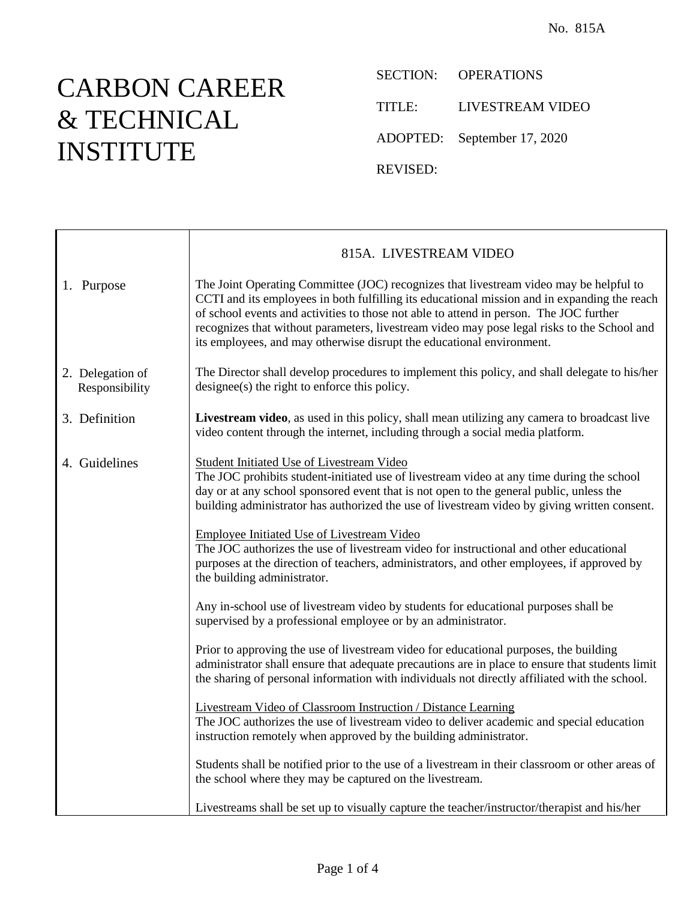## CARBON CAREER & TECHNICAL INSTITUTE

 $\Gamma$ 

SECTION: OPERATIONS

TITLE: LIVESTREAM VIDEO

ADOPTED: September 17, 2020

REVISED:

|                                    | 815A. LIVESTREAM VIDEO                                                                                                                                                                                                                                                                                                                                                                                                                                   |
|------------------------------------|----------------------------------------------------------------------------------------------------------------------------------------------------------------------------------------------------------------------------------------------------------------------------------------------------------------------------------------------------------------------------------------------------------------------------------------------------------|
| 1. Purpose                         | The Joint Operating Committee (JOC) recognizes that livestream video may be helpful to<br>CCTI and its employees in both fulfilling its educational mission and in expanding the reach<br>of school events and activities to those not able to attend in person. The JOC further<br>recognizes that without parameters, livestream video may pose legal risks to the School and<br>its employees, and may otherwise disrupt the educational environment. |
| 2. Delegation of<br>Responsibility | The Director shall develop procedures to implement this policy, and shall delegate to his/her<br>designee(s) the right to enforce this policy.                                                                                                                                                                                                                                                                                                           |
| 3. Definition                      | Livestream video, as used in this policy, shall mean utilizing any camera to broadcast live<br>video content through the internet, including through a social media platform.                                                                                                                                                                                                                                                                            |
| 4. Guidelines                      | <b>Student Initiated Use of Livestream Video</b><br>The JOC prohibits student-initiated use of livestream video at any time during the school<br>day or at any school sponsored event that is not open to the general public, unless the<br>building administrator has authorized the use of livestream video by giving written consent.                                                                                                                 |
|                                    | <b>Employee Initiated Use of Livestream Video</b><br>The JOC authorizes the use of livestream video for instructional and other educational<br>purposes at the direction of teachers, administrators, and other employees, if approved by<br>the building administrator.                                                                                                                                                                                 |
|                                    | Any in-school use of livestream video by students for educational purposes shall be<br>supervised by a professional employee or by an administrator.                                                                                                                                                                                                                                                                                                     |
|                                    | Prior to approving the use of livestream video for educational purposes, the building<br>administrator shall ensure that adequate precautions are in place to ensure that students limit<br>the sharing of personal information with individuals not directly affiliated with the school.                                                                                                                                                                |
|                                    | <b>Livestream Video of Classroom Instruction / Distance Learning</b><br>The JOC authorizes the use of livestream video to deliver academic and special education<br>instruction remotely when approved by the building administrator.                                                                                                                                                                                                                    |
|                                    | Students shall be notified prior to the use of a livestream in their classroom or other areas of<br>the school where they may be captured on the livestream.                                                                                                                                                                                                                                                                                             |
|                                    | Livestreams shall be set up to visually capture the teacher/instructor/therapist and his/her                                                                                                                                                                                                                                                                                                                                                             |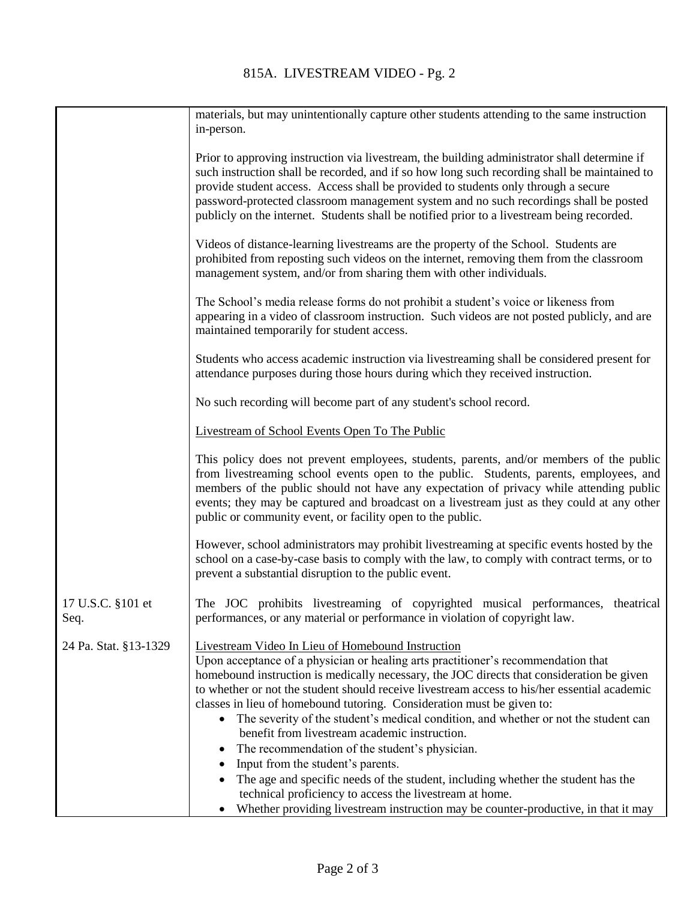| materials, but may unintentionally capture other students attending to the same instruction<br>in-person.                                                                                                                                                                                                                                                                                                                                                                                                                                                                                                                                                                                                                                                                                                                                                                                                   |
|-------------------------------------------------------------------------------------------------------------------------------------------------------------------------------------------------------------------------------------------------------------------------------------------------------------------------------------------------------------------------------------------------------------------------------------------------------------------------------------------------------------------------------------------------------------------------------------------------------------------------------------------------------------------------------------------------------------------------------------------------------------------------------------------------------------------------------------------------------------------------------------------------------------|
| Prior to approving instruction via livestream, the building administrator shall determine if<br>such instruction shall be recorded, and if so how long such recording shall be maintained to<br>provide student access. Access shall be provided to students only through a secure<br>password-protected classroom management system and no such recordings shall be posted<br>publicly on the internet. Students shall be notified prior to a livestream being recorded.                                                                                                                                                                                                                                                                                                                                                                                                                                   |
| Videos of distance-learning livestreams are the property of the School. Students are<br>prohibited from reposting such videos on the internet, removing them from the classroom<br>management system, and/or from sharing them with other individuals.                                                                                                                                                                                                                                                                                                                                                                                                                                                                                                                                                                                                                                                      |
| The School's media release forms do not prohibit a student's voice or likeness from<br>appearing in a video of classroom instruction. Such videos are not posted publicly, and are<br>maintained temporarily for student access.                                                                                                                                                                                                                                                                                                                                                                                                                                                                                                                                                                                                                                                                            |
| Students who access academic instruction via livestreaming shall be considered present for<br>attendance purposes during those hours during which they received instruction.                                                                                                                                                                                                                                                                                                                                                                                                                                                                                                                                                                                                                                                                                                                                |
| No such recording will become part of any student's school record.                                                                                                                                                                                                                                                                                                                                                                                                                                                                                                                                                                                                                                                                                                                                                                                                                                          |
| Livestream of School Events Open To The Public                                                                                                                                                                                                                                                                                                                                                                                                                                                                                                                                                                                                                                                                                                                                                                                                                                                              |
| This policy does not prevent employees, students, parents, and/or members of the public<br>from livestreaming school events open to the public. Students, parents, employees, and<br>members of the public should not have any expectation of privacy while attending public<br>events; they may be captured and broadcast on a livestream just as they could at any other<br>public or community event, or facility open to the public.                                                                                                                                                                                                                                                                                                                                                                                                                                                                    |
| However, school administrators may prohibit livestreaming at specific events hosted by the<br>school on a case-by-case basis to comply with the law, to comply with contract terms, or to<br>prevent a substantial disruption to the public event.                                                                                                                                                                                                                                                                                                                                                                                                                                                                                                                                                                                                                                                          |
| The JOC prohibits livestreaming of copyrighted musical performances, theatrical<br>performances, or any material or performance in violation of copyright law.                                                                                                                                                                                                                                                                                                                                                                                                                                                                                                                                                                                                                                                                                                                                              |
| Livestream Video In Lieu of Homebound Instruction<br>Upon acceptance of a physician or healing arts practitioner's recommendation that<br>homebound instruction is medically necessary, the JOC directs that consideration be given<br>to whether or not the student should receive livestream access to his/her essential academic<br>classes in lieu of homebound tutoring. Consideration must be given to:<br>The severity of the student's medical condition, and whether or not the student can<br>$\bullet$<br>benefit from livestream academic instruction.<br>The recommendation of the student's physician.<br>Input from the student's parents.<br>The age and specific needs of the student, including whether the student has the<br>technical proficiency to access the livestream at home.<br>Whether providing livestream instruction may be counter-productive, in that it may<br>$\bullet$ |
|                                                                                                                                                                                                                                                                                                                                                                                                                                                                                                                                                                                                                                                                                                                                                                                                                                                                                                             |